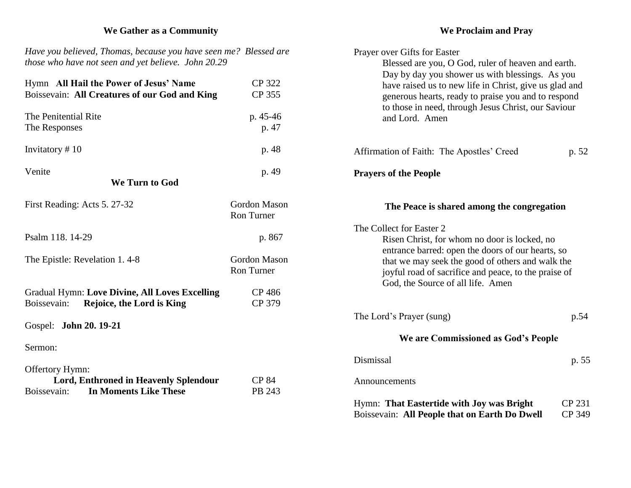## **We Gather as a Community**

*Have you believed, Thomas, because you have seen me? Blessed are those who have not seen and yet believe. John 20.29*

| Hymn All Hail the Power of Jesus' Name                                                            | <b>CP 322</b>                            |
|---------------------------------------------------------------------------------------------------|------------------------------------------|
| Boissevain: All Creatures of our God and King                                                     | CP 355                                   |
| The Penitential Rite                                                                              | p. 45-46                                 |
| The Responses                                                                                     | p. 47                                    |
| Invitatory #10                                                                                    | p. 48                                    |
| Venite                                                                                            | p. 49                                    |
| <b>We Turn to God</b>                                                                             |                                          |
| First Reading: Acts 5. 27-32                                                                      | <b>Gordon Mason</b><br><b>Ron Turner</b> |
| Psalm 118. 14-29                                                                                  | p. 867                                   |
| The Epistle: Revelation 1.4-8                                                                     | <b>Gordon Mason</b><br><b>Ron Turner</b> |
| <b>Gradual Hymn: Love Divine, All Loves Excelling</b><br>Rejoice, the Lord is King<br>Boissevain: | <b>CP 486</b><br>CP 379                  |
| Gospel: John 20. 19-21                                                                            |                                          |
| Sermon:                                                                                           |                                          |
| Offertory Hymn:                                                                                   |                                          |
| <b>Lord, Enthroned in Heavenly Splendour</b><br><b>In Moments Like These</b><br>Boissevain:       | <b>CP 84</b><br>PB 243                   |
|                                                                                                   |                                          |

#### **We Proclaim and Pray**

| Prayer over Gifts for Easter<br>Blessed are you, O God, ruler of heaven and earth.<br>Day by day you shower us with blessings. As you<br>have raised us to new life in Christ, give us glad and<br>generous hearts, ready to praise you and to respond<br>to those in need, through Jesus Christ, our Saviour<br>and Lord. Amen |                  |
|---------------------------------------------------------------------------------------------------------------------------------------------------------------------------------------------------------------------------------------------------------------------------------------------------------------------------------|------------------|
| Affirmation of Faith: The Apostles' Creed                                                                                                                                                                                                                                                                                       | p. 52            |
| <b>Prayers of the People</b>                                                                                                                                                                                                                                                                                                    |                  |
| The Peace is shared among the congregation                                                                                                                                                                                                                                                                                      |                  |
| The Collect for Easter 2<br>Risen Christ, for whom no door is locked, no<br>entrance barred: open the doors of our hearts, so<br>that we may seek the good of others and walk the<br>joyful road of sacrifice and peace, to the praise of<br>God, the Source of all life. Amen                                                  |                  |
| The Lord's Prayer (sung)                                                                                                                                                                                                                                                                                                        | p.54             |
| We are Commissioned as God's People                                                                                                                                                                                                                                                                                             |                  |
| Dismissal                                                                                                                                                                                                                                                                                                                       | p. 55            |
| Announcements                                                                                                                                                                                                                                                                                                                   |                  |
| Hymn: That Eastertide with Joy was Bright<br>Boissevain: All People that on Earth Do Dwell                                                                                                                                                                                                                                      | CP 231<br>CP 349 |